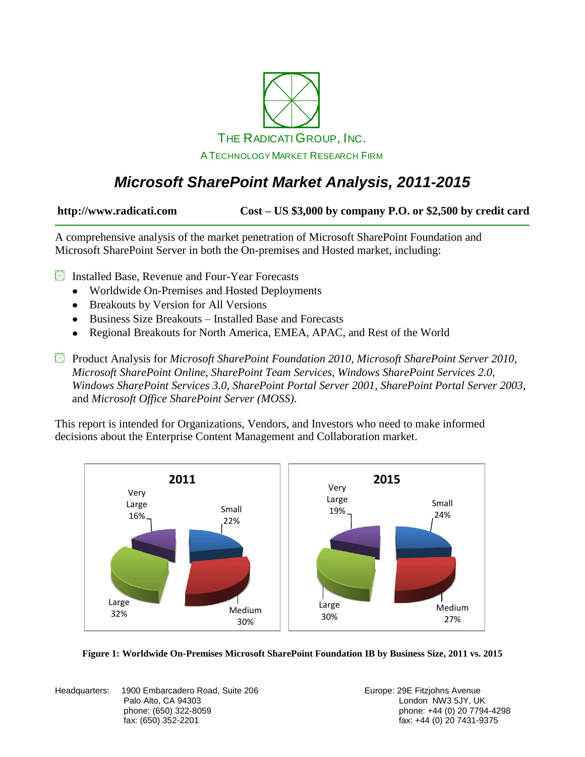

### *Microsoft SharePoint Market Analysis, 2011-2015*

**http://www.radicati.com Cost – US \$3,000 by company P.O. or \$2,500 by credit card**

A comprehensive analysis of the market penetration of Microsoft SharePoint Foundation and Microsoft SharePoint Server in both the On-premises and Hosted market, including:

**Exercise** Installed Base, Revenue and Four-Year Forecasts

- Worldwide On-Premises and Hosted Deployments
- Breakouts by Version for All Versions
- Business Size Breakouts Installed Base and Forecasts
- Regional Breakouts for North America, EMEA, APAC, and Rest of the World  $\bullet$

Product Analysis for *Microsoft SharePoint Foundation 2010, Microsoft SharePoint Server 2010, Microsoft SharePoint Online, SharePoint Team Services, Windows SharePoint Services 2.0, Windows SharePoint Services 3.0, SharePoint Portal Server 2001, SharePoint Portal Server 2003,*  and *Microsoft Office SharePoint Server (MOSS)*.

This report is intended for Organizations, Vendors, and Investors who need to make informed decisions about the Enterprise Content Management and Collaboration market.





Headquarters: 1900 Embarcadero Road, Suite 206 **Europe: 29 Europe: 29 E** Fitzjohns Avenue Palo Alto, CA 94303 **Disk and Alto, CA 94303** London NW3 5JY, UK

phone: (650) 322-8059 phone: +44 (0) 20 7794-4298 fax: +44 (0) 20 7431-9375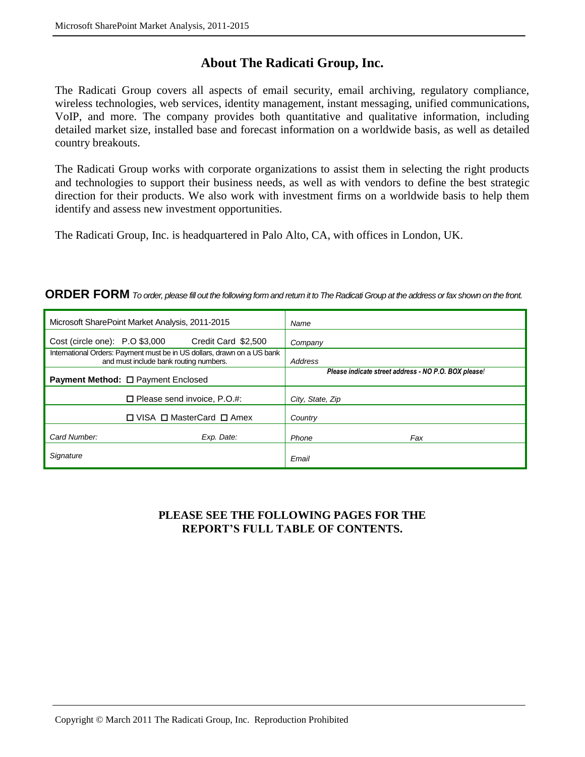### **About The Radicati Group, Inc.**

The Radicati Group covers all aspects of email security, email archiving, regulatory compliance, wireless technologies, web services, identity management, instant messaging, unified communications, VoIP, and more. The company provides both quantitative and qualitative information, including detailed market size, installed base and forecast information on a worldwide basis, as well as detailed country breakouts.

The Radicati Group works with corporate organizations to assist them in selecting the right products and technologies to support their business needs, as well as with vendors to define the best strategic direction for their products. We also work with investment firms on a worldwide basis to help them identify and assess new investment opportunities.

The Radicati Group, Inc. is headquartered in Palo Alto, CA, with offices in London, UK.

#### **ORDER FORM** *To order, please fill out the following form and return it to The Radicati Group at the address or fax shown on the front.*

| Microsoft SharePoint Market Analysis, 2011-2015                                                                   |                                    | Name                                                 |
|-------------------------------------------------------------------------------------------------------------------|------------------------------------|------------------------------------------------------|
| Cost (circle one): P.O \$3,000                                                                                    | Credit Card \$2,500                | Company                                              |
| International Orders: Payment must be in US dollars, drawn on a US bank<br>and must include bank routing numbers. |                                    | Address                                              |
| <b>Payment Method: □ Payment Enclosed</b>                                                                         |                                    | Please indicate street address - NO P.O. BOX please! |
|                                                                                                                   | $\Box$ Please send invoice, P.O.#: | City, State, Zip                                     |
| $\Box$ VISA $\Box$ MasterCard $\Box$ Amex                                                                         |                                    | Country                                              |
| Card Number:                                                                                                      | Exp. Date:                         | Phone<br>Fax                                         |
| Signature                                                                                                         |                                    | Email                                                |

#### **PLEASE SEE THE FOLLOWING PAGES FOR THE REPORT'S FULL TABLE OF CONTENTS.**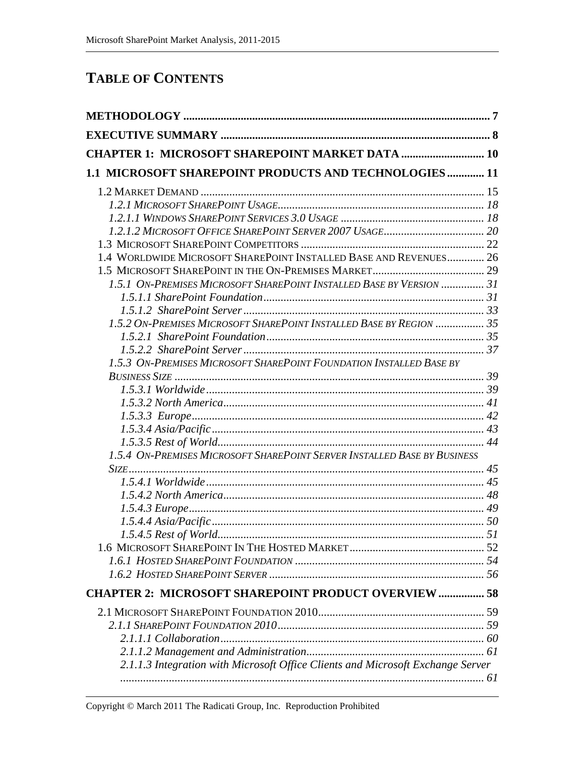### **TABLE OF CONTENTS**

| <b>CHAPTER 1: MICROSOFT SHAREPOINT MARKET DATA  10</b>                          |  |
|---------------------------------------------------------------------------------|--|
| 1.1 MICROSOFT SHAREPOINT PRODUCTS AND TECHNOLOGIES 11                           |  |
|                                                                                 |  |
|                                                                                 |  |
|                                                                                 |  |
|                                                                                 |  |
|                                                                                 |  |
| 1.4 WORLDWIDE MICROSOFT SHAREPOINT INSTALLED BASE AND REVENUES 26               |  |
|                                                                                 |  |
| 1.5.1 ON-PREMISES MICROSOFT SHAREPOINT INSTALLED BASE BY VERSION  31            |  |
|                                                                                 |  |
|                                                                                 |  |
| 1.5.2 ON-PREMISES MICROSOFT SHAREPOINT INSTALLED BASE BY REGION  35             |  |
|                                                                                 |  |
|                                                                                 |  |
| 1.5.3 ON-PREMISES MICROSOFT SHAREPOINT FOUNDATION INSTALLED BASE BY             |  |
|                                                                                 |  |
|                                                                                 |  |
|                                                                                 |  |
|                                                                                 |  |
|                                                                                 |  |
|                                                                                 |  |
| 1.5.4 ON-PREMISES MICROSOFT SHAREPOINT SERVER INSTALLED BASE BY BUSINESS        |  |
|                                                                                 |  |
|                                                                                 |  |
|                                                                                 |  |
|                                                                                 |  |
| 1.5.4.5 Rest of World                                                           |  |
|                                                                                 |  |
|                                                                                 |  |
|                                                                                 |  |
| <b>CHAPTER 2: MICROSOFT SHAREPOINT PRODUCT OVERVIEW  58</b>                     |  |
|                                                                                 |  |
|                                                                                 |  |
|                                                                                 |  |
|                                                                                 |  |
|                                                                                 |  |
| 2.1.1.3 Integration with Microsoft Office Clients and Microsoft Exchange Server |  |
|                                                                                 |  |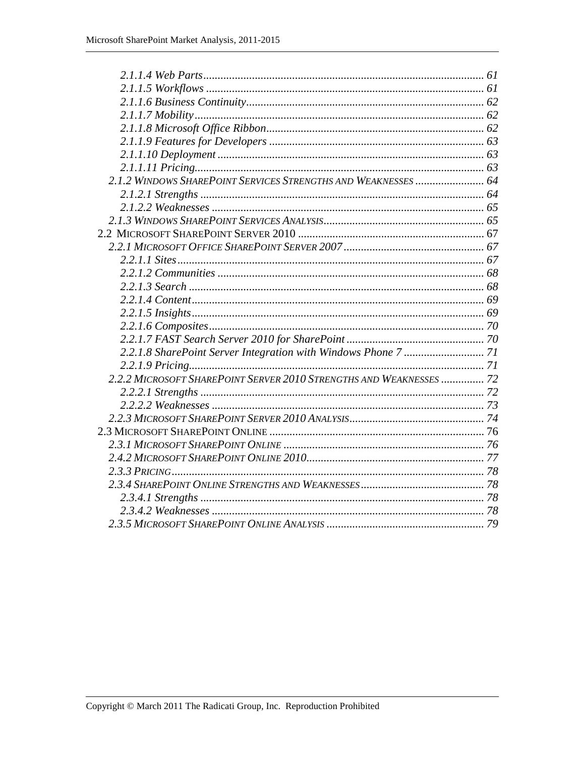| 2.1.2 WINDOWS SHAREPOINT SERVICES STRENGTHS AND WEAKNESSES  64      |  |
|---------------------------------------------------------------------|--|
|                                                                     |  |
|                                                                     |  |
|                                                                     |  |
|                                                                     |  |
|                                                                     |  |
|                                                                     |  |
|                                                                     |  |
|                                                                     |  |
|                                                                     |  |
|                                                                     |  |
|                                                                     |  |
|                                                                     |  |
|                                                                     |  |
|                                                                     |  |
| 2.2.2 MICROSOFT SHAREPOINT SERVER 2010 STRENGTHS AND WEAKNESSES  72 |  |
|                                                                     |  |
|                                                                     |  |
|                                                                     |  |
|                                                                     |  |
|                                                                     |  |
|                                                                     |  |
|                                                                     |  |
|                                                                     |  |
|                                                                     |  |
|                                                                     |  |
|                                                                     |  |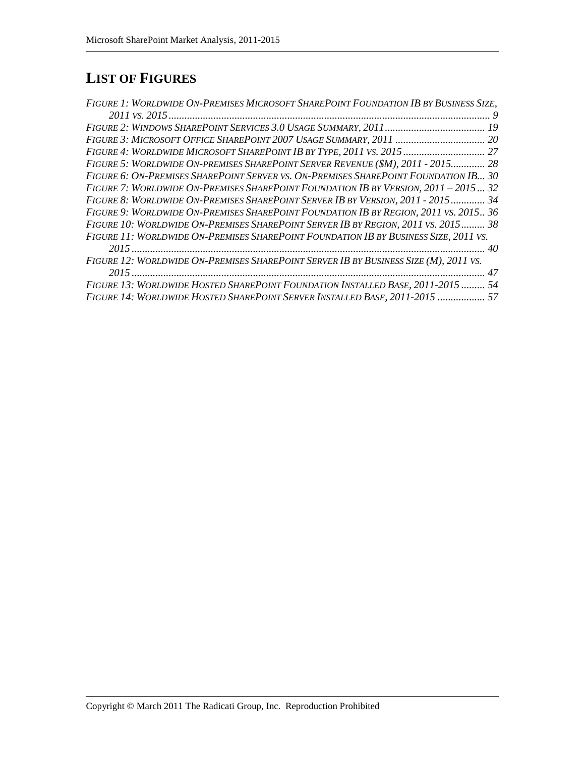## **LIST OF FIGURES**

| FIGURE 1: WORLDWIDE ON-PREMISES MICROSOFT SHAREPOINT FOUNDATION IB BY BUSINESS SIZE, |  |
|--------------------------------------------------------------------------------------|--|
|                                                                                      |  |
|                                                                                      |  |
|                                                                                      |  |
| FIGURE 4: WORLDWIDE MICROSOFT SHAREPOINT IB BY TYPE, 2011 VS. 2015 27                |  |
| FIGURE 5: WORLDWIDE ON-PREMISES SHAREPOINT SERVER REVENUE (\$M), 2011 - 2015 28      |  |
| FIGURE 6: ON-PREMISES SHAREPOINT SERVER VS. ON-PREMISES SHAREPOINT FOUNDATION IB 30  |  |
| FIGURE 7: WORLDWIDE ON-PREMISES SHAREPOINT FOUNDATION IB BY VERSION, 2011 - 2015 32  |  |
| FIGURE 8: WORLDWIDE ON-PREMISES SHAREPOINT SERVER IB BY VERSION, 2011 - 2015 34      |  |
| FIGURE 9: WORLDWIDE ON-PREMISES SHAREPOINT FOUNDATION IB BY REGION, 2011 VS. 2015 36 |  |
| FIGURE 10: WORLDWIDE ON-PREMISES SHAREPOINT SERVER IB BY REGION, 2011 VS. 2015 38    |  |
| FIGURE 11: WORLDWIDE ON-PREMISES SHAREPOINT FOUNDATION IB BY BUSINESS SIZE, 2011 VS. |  |
|                                                                                      |  |
| FIGURE 12: WORLDWIDE ON-PREMISES SHAREPOINT SERVER IB BY BUSINESS SIZE (M), 2011 VS. |  |
|                                                                                      |  |
| FIGURE 13: WORLDWIDE HOSTED SHAREPOINT FOUNDATION INSTALLED BASE, 2011-2015  54      |  |
| FIGURE 14: WORLDWIDE HOSTED SHAREPOINT SERVER INSTALLED BASE, 2011-2015  57          |  |